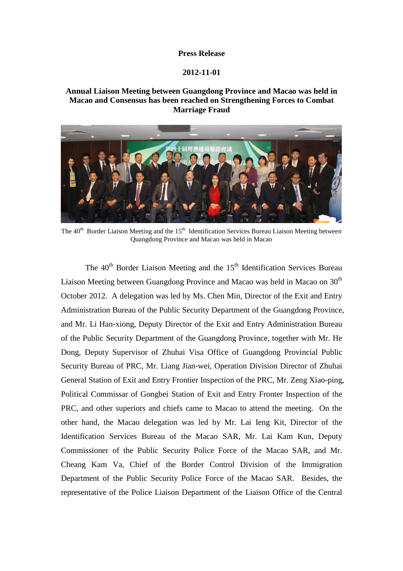## **Press Release**

## **2012-11-01**

## **Annual Liaison Meeting between Guangdong Province and Macao was held in Macao and Consensus has been reached on Strengthening Forces to Combat Marriage Fraud**



The 40<sup>th</sup> Border Liaison Meeting and the 15<sup>th</sup> Identification Services Bureau Liaison Meeting between Quangdong Province and Macao was held in Macao

The  $40<sup>th</sup>$  Border Liaison Meeting and the  $15<sup>th</sup>$  Identification Services Bureau Liaison Meeting between Guangdong Province and Macao was held in Macao on  $30<sup>th</sup>$ October 2012. A delegation was led by Ms. Chen Min, Director of the Exit and Entry Administration Bureau of the Public Security Department of the Guangdong Province, and Mr. Li Han-xiong, Deputy Director of the Exit and Entry Administration Bureau of the Public Security Department of the Guangdong Province, together with Mr. He Dong, Deputy Supervisor of Zhuhai Visa Office of Guangdong Provincial Public Security Bureau of PRC, Mr. Liang Jian-wei, Operation Division Director of Zhuhai General Station of Exit and Entry Frontier Inspection of the PRC, Mr. Zeng Xiao-ping, Political Commissar of Gongbei Station of Exit and Entry Fronter Inspection of the PRC, and other superiors and chiefs came to Macao to attend the meeting. On the other hand, the Macao delegation was led by Mr. Lai Ieng Kit, Director of the Identification Services Bureau of the Macao SAR, Mr. Lai Kam Kun, Deputy Commissioner of the Public Security Police Force of the Macao SAR, and Mr. Cheang Kam Va, Chief of the Border Control Division of the Immigration Department of the Public Security Police Force of the Macao SAR. Besides, the representative of the Police Liaison Department of the Liaison Office of the Central